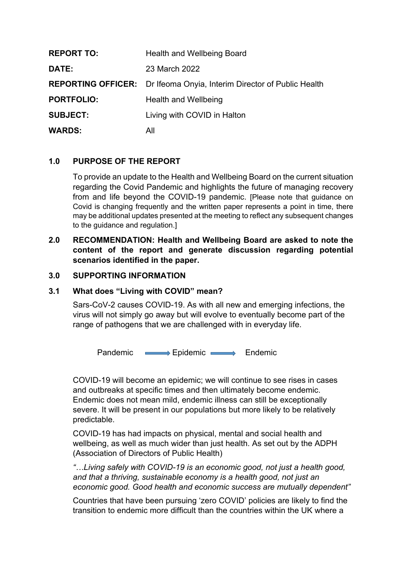| <b>REPORT TO:</b> | <b>Health and Wellbeing Board</b>                                            |
|-------------------|------------------------------------------------------------------------------|
| DATE:             | 23 March 2022                                                                |
|                   | <b>REPORTING OFFICER:</b> Dr Ifeoma Onyia, Interim Director of Public Health |
| <b>PORTFOLIO:</b> | Health and Wellbeing                                                         |
| <b>SUBJECT:</b>   | Living with COVID in Halton                                                  |
| <b>WARDS:</b>     | All                                                                          |

# **1.0 PURPOSE OF THE REPORT**

To provide an update to the Health and Wellbeing Board on the current situation regarding the Covid Pandemic and highlights the future of managing recovery from and life beyond the COVID-19 pandemic. [Please note that guidance on Covid is changing frequently and the written paper represents a point in time, there may be additional updates presented at the meeting to reflect any subsequent changes to the guidance and regulation.]

## **2.0 RECOMMENDATION: Health and Wellbeing Board are asked to note the content of the report and generate discussion regarding potential scenarios identified in the paper.**

### **3.0 SUPPORTING INFORMATION**

### **3.1 What does "Living with COVID" mean?**

Sars-CoV-2 causes COVID-19. As with all new and emerging infections, the virus will not simply go away but will evolve to eventually become part of the range of pathogens that we are challenged with in everyday life.

Pandemic **Exercise Explorer Endemic** Endemic

COVID-19 will become an epidemic; we will continue to see rises in cases and outbreaks at specific times and then ultimately become endemic. Endemic does not mean mild, endemic illness can still be exceptionally severe. It will be present in our populations but more likely to be relatively predictable.

COVID-19 has had impacts on physical, mental and social health and wellbeing, as well as much wider than just health. As set out by the ADPH (Association of Directors of Public Health)

*"…Living safely with COVID-19 is an economic good, not just a health good, and that a thriving, sustainable economy is a health good, not just an economic good. Good health and economic success are mutually dependent"*

Countries that have been pursuing 'zero COVID' policies are likely to find the transition to endemic more difficult than the countries within the UK where a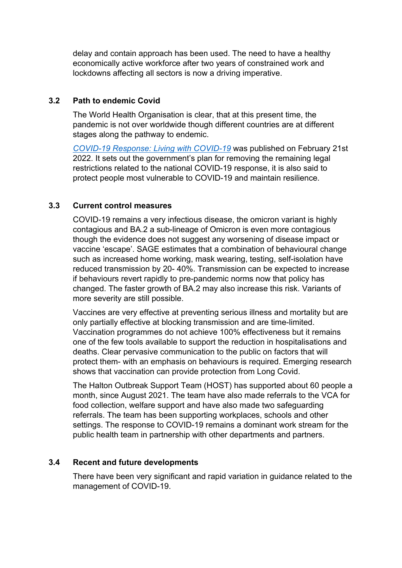delay and contain approach has been used. The need to have a healthy economically active workforce after two years of constrained work and lockdowns affecting all sectors is now a driving imperative.

## **3.2 Path to endemic Covid**

The World Health Organisation is clear, that at this present time, the pandemic is not over worldwide though different countries are at different stages along the pathway to endemic.

*COVID-19 [Response:](https://www.gov.uk/government/publications/covid-19-response-living-with-covid-19) Living with COVID-19* was published on February 21st 2022. It sets out the government's plan for removing the remaining legal restrictions related to the national COVID-19 response, it is also said to protect people most vulnerable to COVID-19 and maintain resilience.

# **3.3 Current control measures**

COVID-19 remains a very infectious disease, the omicron variant is highly contagious and BA.2 a sub-lineage of Omicron is even more contagious though the evidence does not suggest any worsening of disease impact or vaccine 'escape'. SAGE estimates that a combination of behavioural change such as increased home working, mask wearing, testing, self-isolation have reduced transmission by 20- 40%. Transmission can be expected to increase if behaviours revert rapidly to pre-pandemic norms now that policy has changed. The faster growth of BA.2 may also increase this risk. Variants of more severity are still possible.

Vaccines are very effective at preventing serious illness and mortality but are only partially effective at blocking transmission and are time-limited. Vaccination programmes do not achieve 100% effectiveness but it remains one of the few tools available to support the reduction in hospitalisations and deaths. Clear pervasive communication to the public on factors that will protect them- with an emphasis on behaviours is required. Emerging research shows that vaccination can provide protection from Long Covid.

The Halton Outbreak Support Team (HOST) has supported about 60 people a month, since August 2021. The team have also made referrals to the VCA for food collection, welfare support and have also made two safeguarding referrals. The team has been supporting workplaces, schools and other settings. The response to COVID-19 remains a dominant work stream for the public health team in partnership with other departments and partners.

### **3.4 Recent and future developments**

There have been very significant and rapid variation in guidance related to the management of COVID-19.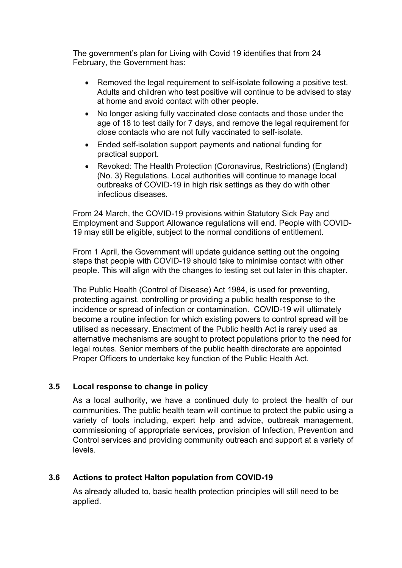The government's plan for Living with Covid 19 identifies that from 24 February, the Government has:

- Removed the legal requirement to self-isolate following a positive test. Adults and children who test positive will continue to be advised to stay at home and avoid contact with other people.
- No longer asking fully vaccinated close contacts and those under the age of 18 to test daily for 7 days, and remove the legal requirement for close contacts who are not fully vaccinated to self-isolate.
- Ended self-isolation support payments and national funding for practical support.
- Revoked: The Health Protection (Coronavirus, Restrictions) (England) (No. 3) Regulations. Local authorities will continue to manage local outbreaks of COVID-19 in high risk settings as they do with other infectious diseases.

From 24 March, the COVID-19 provisions within Statutory Sick Pay and Employment and Support Allowance regulations will end. People with COVID-19 may still be eligible, subject to the normal conditions of entitlement.

From 1 April, the Government will update guidance setting out the ongoing steps that people with COVID-19 should take to minimise contact with other people. This will align with the changes to testing set out later in this chapter.

The Public Health (Control of Disease) Act 1984, is used for preventing, protecting against, controlling or providing a public health response to the incidence or spread of infection or contamination. COVID-19 will ultimately become a routine infection for which existing powers to control spread will be utilised as necessary. Enactment of the Public health Act is rarely used as alternative mechanisms are sought to protect populations prior to the need for legal routes. Senior members of the public health directorate are appointed Proper Officers to undertake key function of the Public Health Act.

# **3.5 Local response to change in policy**

As a local authority, we have a continued duty to protect the health of our communities. The public health team will continue to protect the public using a variety of tools including, expert help and advice, outbreak management, commissioning of appropriate services, provision of Infection, Prevention and Control services and providing community outreach and support at a variety of levels.

# **3.6 Actions to protect Halton population from COVID-19**

As already alluded to, basic health protection principles will still need to be applied.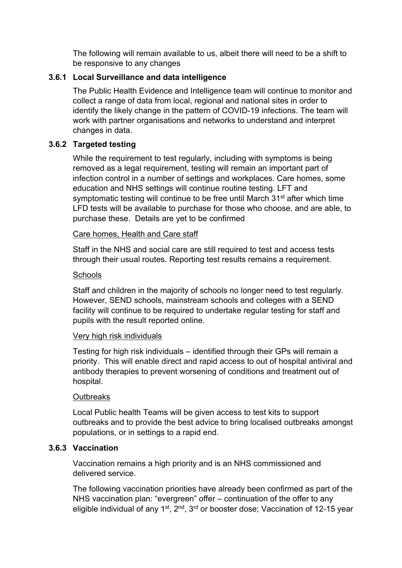The following will remain available to us, albeit there will need to be a shift to be responsive to any changes

# **3.6.1 Local Surveillance and data intelligence**

The Public Health Evidence and Intelligence team will continue to monitor and collect a range of data from local, regional and national sites in order to identify the likely change in the pattern of COVID-19 infections. The team will work with partner organisations and networks to understand and interpret changes in data.

# **3.6.2 Targeted testing**

While the requirement to test regularly, including with symptoms is being removed as a legal requirement, testing will remain an important part of infection control in a number of settings and workplaces. Care homes, some education and NHS settings will continue routine testing. LFT and symptomatic testing will continue to be free until March 31<sup>st</sup> after which time LFD tests will be available to purchase for those who choose, and are able, to purchase these. Details are yet to be confirmed

## Care homes, Health and Care staff

Staff in the NHS and social care are still required to test and access tests through their usual routes. Reporting test results remains a requirement.

## **Schools**

Staff and children in the majority of schools no longer need to test regularly. However, SEND schools, mainstream schools and colleges with a SEND facility will continue to be required to undertake regular testing for staff and pupils with the result reported online.

### Very high risk individuals

Testing for high risk individuals – identified through their GPs will remain a priority. This will enable direct and rapid access to out of hospital antiviral and antibody therapies to prevent worsening of conditions and treatment out of hospital.

### **Outbreaks**

Local Public health Teams will be given access to test kits to support outbreaks and to provide the best advice to bring localised outbreaks amongst populations, or in settings to a rapid end.

# **3.6.3 Vaccination**

Vaccination remains a high priority and is an NHS commissioned and delivered service.

The following vaccination priorities have already been confirmed as part of the NHS vaccination plan: "evergreen" offer – continuation of the offer to any eligible individual of any 1<sup>st</sup>, 2<sup>nd</sup>, 3<sup>rd</sup> or booster dose; Vaccination of 12-15 year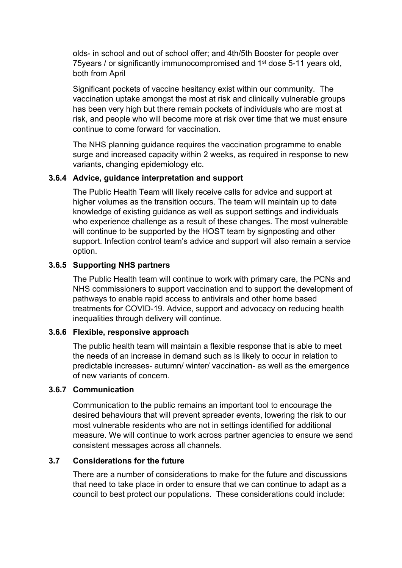olds- in school and out of school offer; and 4th/5th Booster for people over 75years / or significantly immunocompromised and 1<sup>st</sup> dose 5-11 years old, both from April

Significant pockets of vaccine hesitancy exist within our community. The vaccination uptake amongst the most at risk and clinically vulnerable groups has been very high but there remain pockets of individuals who are most at risk, and people who will become more at risk over time that we must ensure continue to come forward for vaccination.

The NHS planning guidance requires the vaccination programme to enable surge and increased capacity within 2 weeks, as required in response to new variants, changing epidemiology etc.

## **3.6.4 Advice, guidance interpretation and support**

The Public Health Team will likely receive calls for advice and support at higher volumes as the transition occurs. The team will maintain up to date knowledge of existing guidance as well as support settings and individuals who experience challenge as a result of these changes. The most vulnerable will continue to be supported by the HOST team by signposting and other support. Infection control team's advice and support will also remain a service option.

## **3.6.5 Supporting NHS partners**

The Public Health team will continue to work with primary care, the PCNs and NHS commissioners to support vaccination and to support the development of pathways to enable rapid access to antivirals and other home based treatments for COVID-19. Advice, support and advocacy on reducing health inequalities through delivery will continue.

### **3.6.6 Flexible, responsive approach**

The public health team will maintain a flexible response that is able to meet the needs of an increase in demand such as is likely to occur in relation to predictable increases- autumn/ winter/ vaccination- as well as the emergence of new variants of concern.

## **3.6.7 Communication**

Communication to the public remains an important tool to encourage the desired behaviours that will prevent spreader events, lowering the risk to our most vulnerable residents who are not in settings identified for additional measure. We will continue to work across partner agencies to ensure we send consistent messages across all channels.

### **3.7 Considerations for the future**

There are a number of considerations to make for the future and discussions that need to take place in order to ensure that we can continue to adapt as a council to best protect our populations. These considerations could include: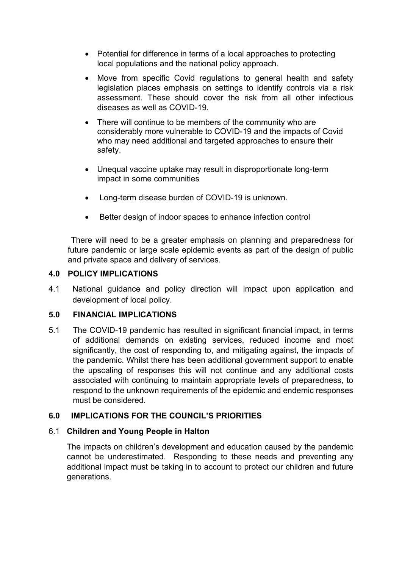- Potential for difference in terms of a local approaches to protecting local populations and the national policy approach.
- Move from specific Covid regulations to general health and safety legislation places emphasis on settings to identify controls via a risk assessment. These should cover the risk from all other infectious diseases as well as COVID-19.
- There will continue to be members of the community who are considerably more vulnerable to COVID-19 and the impacts of Covid who may need additional and targeted approaches to ensure their safety.
- Unequal vaccine uptake may result in disproportionate long-term impact in some communities
- Long-term disease burden of COVID-19 is unknown.
- Better design of indoor spaces to enhance infection control

 There will need to be a greater emphasis on planning and preparedness for future pandemic or large scale epidemic events as part of the design of public and private space and delivery of services.

# **4.0 POLICY IMPLICATIONS**

4.1 National guidance and policy direction will impact upon application and development of local policy.

# **5.0 FINANCIAL IMPLICATIONS**

5.1 The COVID-19 pandemic has resulted in significant financial impact, in terms of additional demands on existing services, reduced income and most significantly, the cost of responding to, and mitigating against, the impacts of the pandemic. Whilst there has been additional government support to enable the upscaling of responses this will not continue and any additional costs associated with continuing to maintain appropriate levels of preparedness, to respond to the unknown requirements of the epidemic and endemic responses must be considered.

# **6.0 IMPLICATIONS FOR THE COUNCIL'S PRIORITIES**

# 6.1 **Children and Young People in Halton**

The impacts on children's development and education caused by the pandemic cannot be underestimated. Responding to these needs and preventing any additional impact must be taking in to account to protect our children and future generations.